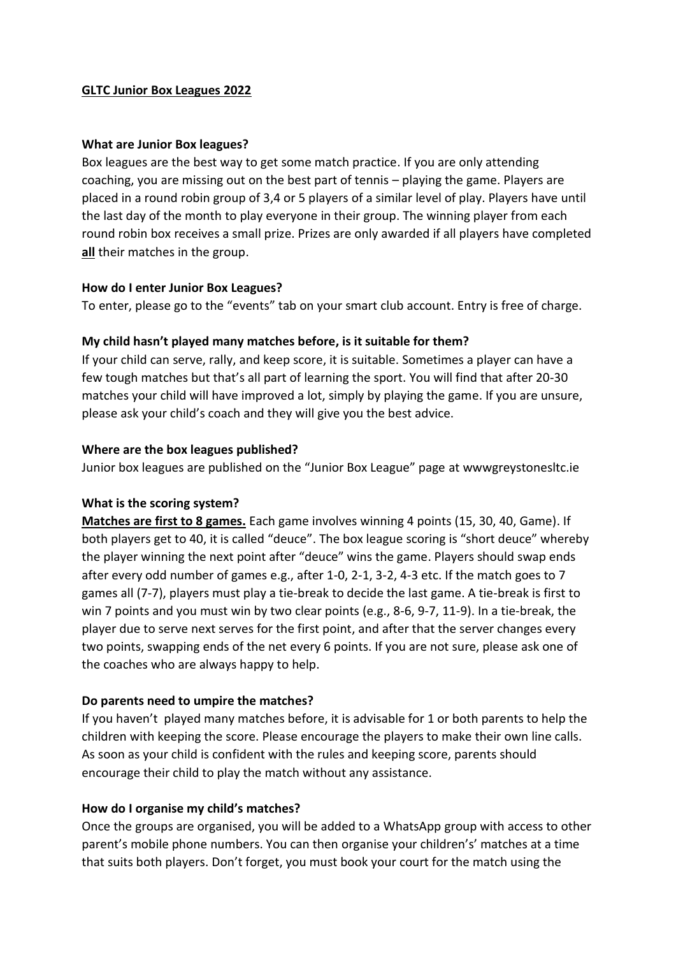### **GLTC Junior Box Leagues 2022**

### **What are Junior Box leagues?**

Box leagues are the best way to get some match practice. If you are only attending coaching, you are missing out on the best part of tennis – playing the game. Players are placed in a round robin group of 3,4 or 5 players of a similar level of play. Players have until the last day of the month to play everyone in their group. The winning player from each round robin box receives a small prize. Prizes are only awarded if all players have completed **all** their matches in the group.

## **How do I enter Junior Box Leagues?**

To enter, please go to the "events" tab on your smart club account. Entry is free of charge.

# **My child hasn't played many matches before, is it suitable for them?**

If your child can serve, rally, and keep score, it is suitable. Sometimes a player can have a few tough matches but that's all part of learning the sport. You will find that after 20-30 matches your child will have improved a lot, simply by playing the game. If you are unsure, please ask your child's coach and they will give you the best advice.

## **Where are the box leagues published?**

Junior box leagues are published on the "Junior Box League" page at wwwgreystonesltc.ie

### **What is the scoring system?**

**Matches are first to 8 games.** Each game involves winning 4 points (15, 30, 40, Game). If both players get to 40, it is called "deuce". The box league scoring is "short deuce" whereby the player winning the next point after "deuce" wins the game. Players should swap ends after every odd number of games e.g., after 1-0, 2-1, 3-2, 4-3 etc. If the match goes to 7 games all (7-7), players must play a tie-break to decide the last game. A tie-break is first to win 7 points and you must win by two clear points (e.g., 8-6, 9-7, 11-9). In a tie-break, the player due to serve next serves for the first point, and after that the server changes every two points, swapping ends of the net every 6 points. If you are not sure, please ask one of the coaches who are always happy to help.

## **Do parents need to umpire the matches?**

If you haven't played many matches before, it is advisable for 1 or both parents to help the children with keeping the score. Please encourage the players to make their own line calls. As soon as your child is confident with the rules and keeping score, parents should encourage their child to play the match without any assistance.

## **How do I organise my child's matches?**

Once the groups are organised, you will be added to a WhatsApp group with access to other parent's mobile phone numbers. You can then organise your children's' matches at a time that suits both players. Don't forget, you must book your court for the match using the